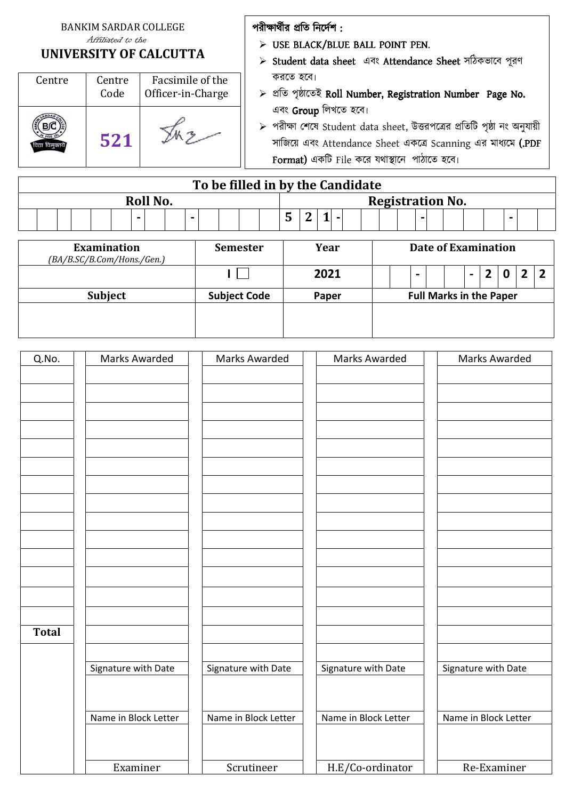#### BANKIM SARDAR COLLEGE Affiliated to the

#### **UNIVERSITY OF CALCUTTA**

| Centre | Centre<br>Code | Facsimile of the<br>Officer-in-Charge |
|--------|----------------|---------------------------------------|
|        | 521            |                                       |

### পরীক্ষার্থীর প্রতি নির্দেশ :

- $\triangleright$  USE BLACK/BLUE BALL POINT PEN.
- $\triangleright$  Student data sheet এবং Attendance Sheet সঠিকভাবে পূরণ করেত হেব৷
- $\triangleright$  প্ৰতি পৃষ্ঠাতেই Roll Number, Registration Number Page No. এবং Group লিখতে হবে।
- $\triangleright$  পরীক্ষা শেষে Student data sheet, উত্তরপত্রের প্রতিটি পৃষ্ঠা নং অনুযায়ী সাজিয়ে এবং Attendance Sheet একত্রে Scanning এর মাধ্যমে **(.PDF** F**ormat)** একটি File করে যথাস্থানে পাঠাতে হবে।

|          | To be filled in by the Candidate |  |  |                          |                         |  |   |  |  |  |  |  |   |  |  |  |  |  |  |  |  |  |  |  |  |  |
|----------|----------------------------------|--|--|--------------------------|-------------------------|--|---|--|--|--|--|--|---|--|--|--|--|--|--|--|--|--|--|--|--|--|
| Roll No. |                                  |  |  |                          | <b>Registration No.</b> |  |   |  |  |  |  |  |   |  |  |  |  |  |  |  |  |  |  |  |  |  |
|          |                                  |  |  | $\overline{\phantom{a}}$ |                         |  | - |  |  |  |  |  | n |  |  |  |  |  |  |  |  |  |  |  |  |  |

| <b>Examination</b><br>(BA/B.SC/B.Com/Hons./Gen.) | <b>Semester</b>     | Year  | Date of Examination      |                                |                          |  |  |  |
|--------------------------------------------------|---------------------|-------|--------------------------|--------------------------------|--------------------------|--|--|--|
|                                                  |                     | 2021  | $\overline{\phantom{a}}$ |                                | $\overline{\phantom{0}}$ |  |  |  |
| <b>Subject</b>                                   | <b>Subject Code</b> | Paper |                          | <b>Full Marks in the Paper</b> |                          |  |  |  |
|                                                  |                     |       |                          |                                |                          |  |  |  |

| Q.No.        | Marks Awarded        | Marks Awarded        | Marks Awarded        | Marks Awarded        |
|--------------|----------------------|----------------------|----------------------|----------------------|
|              |                      |                      |                      |                      |
|              |                      |                      |                      |                      |
|              |                      |                      |                      |                      |
|              |                      |                      |                      |                      |
|              |                      |                      |                      |                      |
|              |                      |                      |                      |                      |
|              |                      |                      |                      |                      |
|              |                      |                      |                      |                      |
|              |                      |                      |                      |                      |
|              |                      |                      |                      |                      |
|              |                      |                      |                      |                      |
|              |                      |                      |                      |                      |
|              |                      |                      |                      |                      |
|              |                      |                      |                      |                      |
|              |                      |                      |                      |                      |
|              |                      |                      |                      |                      |
|              |                      |                      |                      |                      |
|              |                      |                      |                      |                      |
| <b>Total</b> |                      |                      |                      |                      |
|              |                      |                      |                      |                      |
|              |                      |                      |                      |                      |
|              | Signature with Date  | Signature with Date  | Signature with Date  | Signature with Date  |
|              |                      |                      |                      |                      |
|              |                      |                      |                      |                      |
|              | Name in Block Letter | Name in Block Letter | Name in Block Letter | Name in Block Letter |
|              |                      |                      |                      |                      |
|              |                      |                      |                      |                      |
|              |                      |                      |                      |                      |
|              | Examiner             | Scrutineer           | H.E/Co-ordinator     | Re-Examiner          |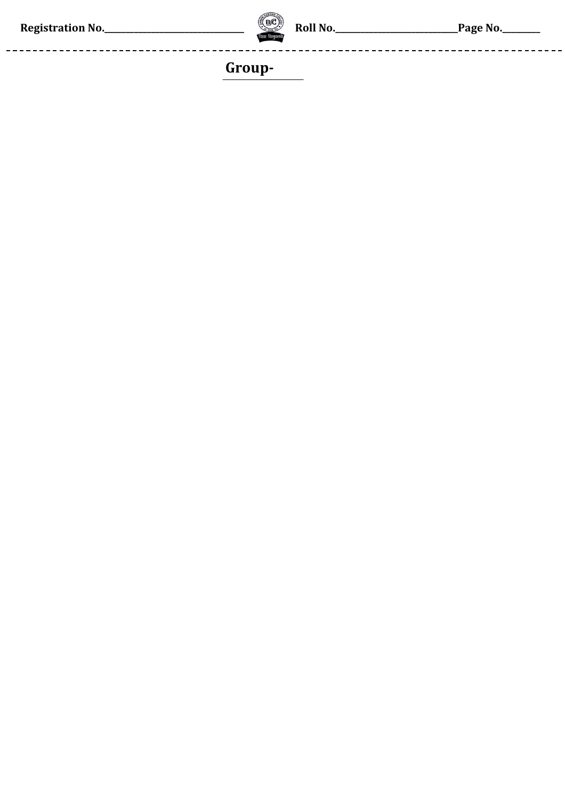. \_ \_ \_ \_ \_ \_ \_ \_ \_ \_ \_ \_ \_ \_ \_ \_



--------

------------------------

# Group-